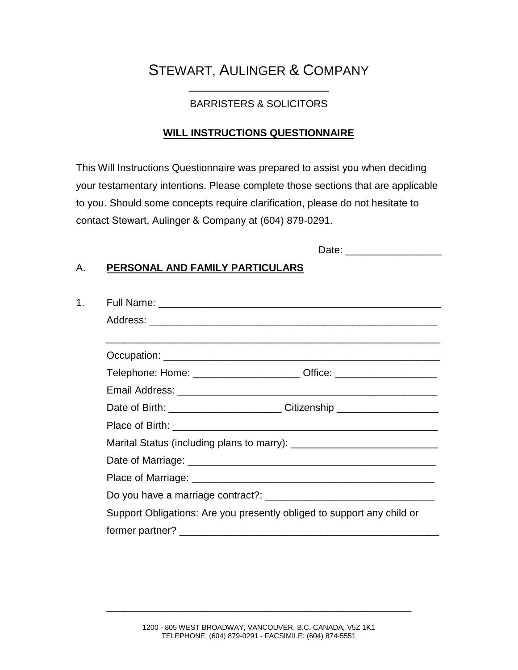# STEWART, AULINGER & COMPANY

## \_\_\_\_\_\_\_\_\_\_\_\_\_\_\_\_\_\_\_\_\_\_\_\_\_ BARRISTERS & SOLICITORS

#### **WILL INSTRUCTIONS QUESTIONNAIRE**

This Will Instructions Questionnaire was prepared to assist you when deciding your testamentary intentions. Please complete those sections that are applicable to you. Should some concepts require clarification, please do not hesitate to contact Stewart, Aulinger & Company at (604) 879-0291.

| Date: |  |
|-------|--|
|       |  |

#### A. **PERSONAL AND FAMILY PARTICULARS**

| Telephone: Home: _______________________ Office: _______________________________ |
|----------------------------------------------------------------------------------|
|                                                                                  |
| Date of Birth: _________________________Citizenship ____________________________ |
|                                                                                  |
|                                                                                  |
|                                                                                  |
|                                                                                  |
|                                                                                  |
| Support Obligations: Are you presently obliged to support any child or           |
|                                                                                  |

\_\_\_\_\_\_\_\_\_\_\_\_\_\_\_\_\_\_\_\_\_\_\_\_\_\_\_\_\_\_\_\_\_\_\_\_\_\_\_\_\_\_\_\_\_\_\_\_\_\_\_\_\_\_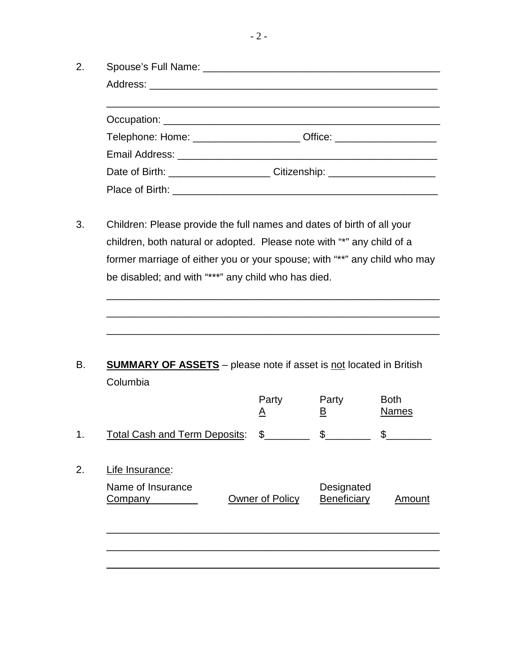| Telephone: Home: ________________________ Office: ______________________________ |
|----------------------------------------------------------------------------------|
|                                                                                  |
| Date of Birth: _______________________Citizenship: _____________________________ |
|                                                                                  |

3. Children: Please provide the full names and dates of birth of all your children, both natural or adopted. Please note with "\*" any child of a former marriage of either you or your spouse; with "\*\*" any child who may be disabled; and with "\*\*\*" any child who has died.

\_\_\_\_\_\_\_\_\_\_\_\_\_\_\_\_\_\_\_\_\_\_\_\_\_\_\_\_\_\_\_\_\_\_\_\_\_\_\_\_\_\_\_\_\_\_\_\_\_\_\_\_\_\_\_\_\_\_\_

\_\_\_\_\_\_\_\_\_\_\_\_\_\_\_\_\_\_\_\_\_\_\_\_\_\_\_\_\_\_\_\_\_\_\_\_\_\_\_\_\_\_\_\_\_\_\_\_\_\_\_\_\_\_\_\_\_\_\_

\_\_\_\_\_\_\_\_\_\_\_\_\_\_\_\_\_\_\_\_\_\_\_\_\_\_\_\_\_\_\_\_\_\_\_\_\_\_\_\_\_\_\_\_\_\_\_\_\_\_\_\_\_\_\_\_\_\_\_

B. **SUMMARY OF ASSETS** – please note if asset is not located in British Columbia

|    |                                      | Party<br><u>A</u> | Party<br><u>B</u> | <b>Both</b><br><b>Names</b> |
|----|--------------------------------------|-------------------|-------------------|-----------------------------|
| 1. | <b>Total Cash and Term Deposits:</b> | $\mathbb{S}$      | \$                | \$                          |
| 2. | Life Insurance:<br>Name of Insurance |                   | Designated        |                             |
|    | Company                              | Owner of Policy   | Beneficiary       | Amount                      |
|    |                                      |                   |                   |                             |
|    |                                      |                   |                   |                             |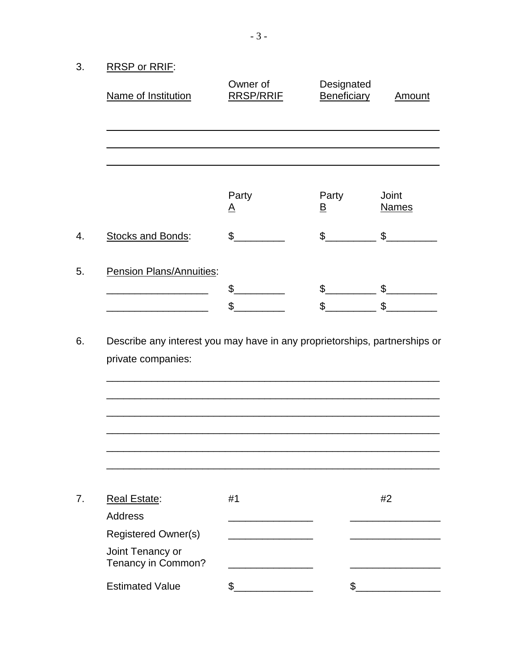RRSP or RRIF:  $3.$ 

| Name of Institution                    | Owner of<br><b>RRSP/RRIE</b> | Designated<br>Beneficiary | <u>Amount</u>         |
|----------------------------------------|------------------------------|---------------------------|-----------------------|
|                                        |                              |                           |                       |
|                                        | Party<br><u>A</u>            | Party<br>$\overline{B}$   | Joint<br><b>Names</b> |
| Stocks and Bonds:                      | \$                           | $\mathbb{S}$              | $\mathfrak{S}$        |
| Pension Plans/Annuities:               |                              |                           |                       |
|                                        | \$                           | \$                        | \$                    |
|                                        | \$                           | \$                        | \$                    |
|                                        |                              |                           |                       |
|                                        |                              |                           |                       |
|                                        |                              |                           |                       |
| <b>Real Estate:</b>                    | #1                           |                           | #2                    |
| <b>Address</b>                         |                              |                           |                       |
| <b>Registered Owner(s)</b>             |                              |                           |                       |
| Joint Tenancy or<br>Tenancy in Common? |                              |                           |                       |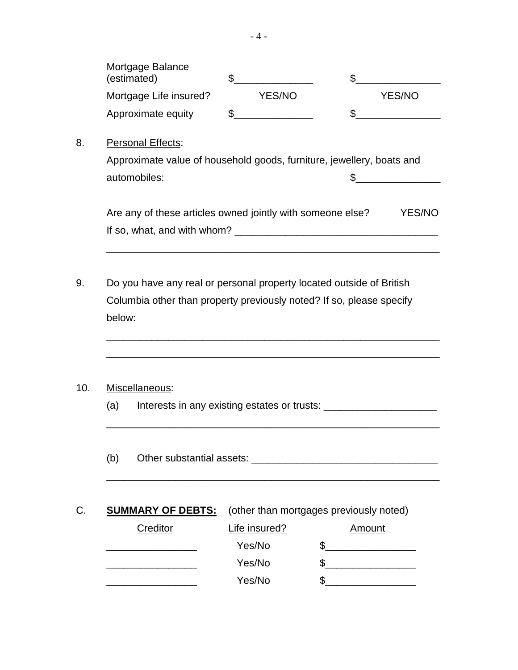| Mortgage Balance<br>(estimated) |               |        |
|---------------------------------|---------------|--------|
| Mortgage Life insured?          | <b>YES/NO</b> | YES/NO |
| Approximate equity              |               |        |
| Personal Effects:               |               |        |

8. Personal Effects:

| Approximate value of household goods, furniture, jewellery, boats and |  |
|-----------------------------------------------------------------------|--|
| automobiles:                                                          |  |

| Are any of these articles owned jointly with someone else? | <b>YES/NO</b> |
|------------------------------------------------------------|---------------|
| If so, what, and with whom?                                |               |

\_\_\_\_\_\_\_\_\_\_\_\_\_\_\_\_\_\_\_\_\_\_\_\_\_\_\_\_\_\_\_\_\_\_\_\_\_\_\_\_\_\_\_\_\_\_\_\_\_\_\_\_\_\_\_\_\_\_\_

\_\_\_\_\_\_\_\_\_\_\_\_\_\_\_\_\_\_\_\_\_\_\_\_\_\_\_\_\_\_\_\_\_\_\_\_\_\_\_\_\_\_\_\_\_\_\_\_\_\_\_\_\_\_\_\_\_\_\_

\_\_\_\_\_\_\_\_\_\_\_\_\_\_\_\_\_\_\_\_\_\_\_\_\_\_\_\_\_\_\_\_\_\_\_\_\_\_\_\_\_\_\_\_\_\_\_\_\_\_\_\_\_\_\_\_\_\_\_

9. Do you have any real or personal property located outside of British Columbia other than property previously noted? If so, please specify below:

#### 10. Miscellaneous:

(a) Interests in any existing estates or trusts: \_\_\_\_\_\_\_\_\_\_\_\_\_\_\_\_\_\_\_\_\_\_\_\_\_\_\_\_\_\_\_

\_\_\_\_\_\_\_\_\_\_\_\_\_\_\_\_\_\_\_\_\_\_\_\_\_\_\_\_\_\_\_\_\_\_\_\_\_\_\_\_\_\_\_\_\_\_\_\_\_\_\_\_\_\_\_\_\_\_\_

(b) Other substantial assets:  $\frac{1}{2}$  Other substantial assets:  $\frac{1}{2}$  Other substantial assets:

C. **SUMMARY OF DEBTS:** (other than mortgages previously noted)

| Creditor | Life insured? | Amount |
|----------|---------------|--------|
|          | Yes/No        |        |
|          | Yes/No        |        |
|          | Yes/No        |        |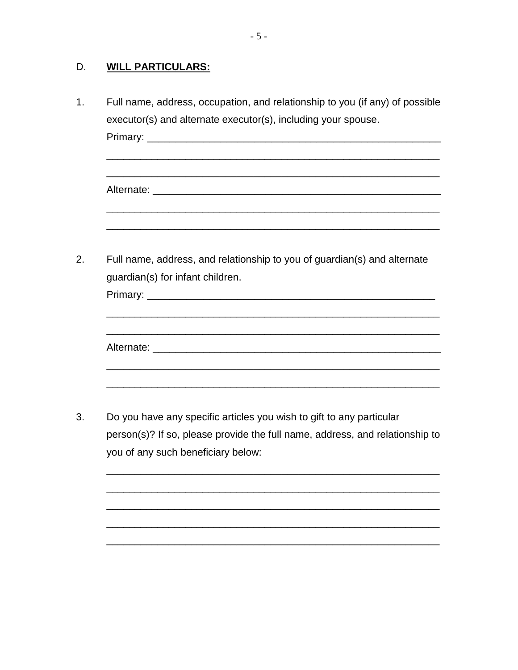#### D. **WILL PARTICULARS:**

- $1.$ Full name, address, occupation, and relationship to you (if any) of possible executor(s) and alternate executor(s), including your spouse. Primary: <u>with the contract of the contract of the contract of the contract of the contract of the contract of the contract of the contract of the contract of the contract of the contract of the contract of the contract of</u> Full name, address, and relationship to you of guardian(s) and alternate  $2.$ guardian(s) for infant children. Alternate: <u>Alternate:</u> Alternate: Alternative Contract and Alternative Contract and Alternative Contract and Alternative Contract and Alternative Contract and Alternative Contract and Alternative Contract and Alternative 3. Do you have any specific articles you wish to gift to any particular
	- person(s)? If so, please provide the full name, address, and relationship to you of any such beneficiary below: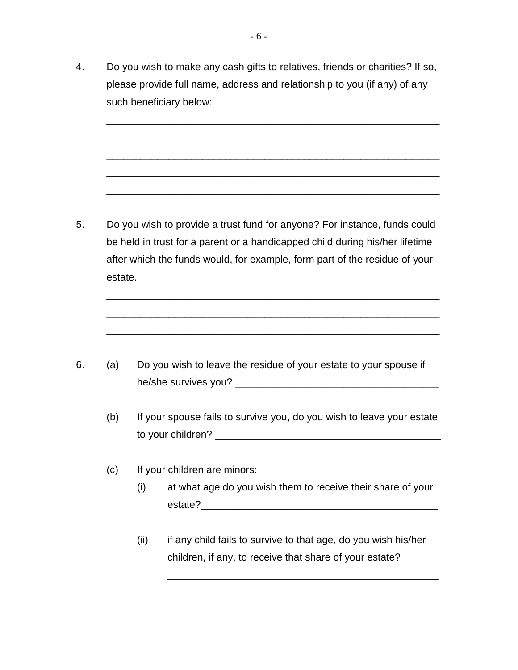4. Do you wish to make any cash gifts to relatives, friends or charities? If so, please provide full name, address and relationship to you (if any) of any such beneficiary below:

\_\_\_\_\_\_\_\_\_\_\_\_\_\_\_\_\_\_\_\_\_\_\_\_\_\_\_\_\_\_\_\_\_\_\_\_\_\_\_\_\_\_\_\_\_\_\_\_\_\_\_\_\_\_\_\_\_\_\_

\_\_\_\_\_\_\_\_\_\_\_\_\_\_\_\_\_\_\_\_\_\_\_\_\_\_\_\_\_\_\_\_\_\_\_\_\_\_\_\_\_\_\_\_\_\_\_\_\_\_\_\_\_\_\_\_\_\_\_

\_\_\_\_\_\_\_\_\_\_\_\_\_\_\_\_\_\_\_\_\_\_\_\_\_\_\_\_\_\_\_\_\_\_\_\_\_\_\_\_\_\_\_\_\_\_\_\_\_\_\_\_\_\_\_\_\_\_\_

\_\_\_\_\_\_\_\_\_\_\_\_\_\_\_\_\_\_\_\_\_\_\_\_\_\_\_\_\_\_\_\_\_\_\_\_\_\_\_\_\_\_\_\_\_\_\_\_\_\_\_\_\_\_\_\_\_\_\_

\_\_\_\_\_\_\_\_\_\_\_\_\_\_\_\_\_\_\_\_\_\_\_\_\_\_\_\_\_\_\_\_\_\_\_\_\_\_\_\_\_\_\_\_\_\_\_\_\_\_\_\_\_\_\_\_\_\_\_

\_\_\_\_\_\_\_\_\_\_\_\_\_\_\_\_\_\_\_\_\_\_\_\_\_\_\_\_\_\_\_\_\_\_\_\_\_\_\_\_\_\_\_\_\_\_\_\_\_\_\_\_\_\_\_\_\_\_\_

\_\_\_\_\_\_\_\_\_\_\_\_\_\_\_\_\_\_\_\_\_\_\_\_\_\_\_\_\_\_\_\_\_\_\_\_\_\_\_\_\_\_\_\_\_\_\_\_\_\_\_\_\_\_\_\_\_\_\_

\_\_\_\_\_\_\_\_\_\_\_\_\_\_\_\_\_\_\_\_\_\_\_\_\_\_\_\_\_\_\_\_\_\_\_\_\_\_\_\_\_\_\_\_\_\_\_\_\_\_\_\_\_\_\_\_\_\_\_

5. Do you wish to provide a trust fund for anyone? For instance, funds could be held in trust for a parent or a handicapped child during his/her lifetime after which the funds would, for example, form part of the residue of your estate.

- 6. (a) Do you wish to leave the residue of your estate to your spouse if he/she survives you? \_\_\_\_\_\_\_\_\_\_\_\_\_\_\_\_\_\_\_\_\_\_\_\_\_\_\_\_\_\_\_\_\_\_\_\_
	- (b) If your spouse fails to survive you, do you wish to leave your estate to your children? \_\_\_\_\_\_\_\_\_\_\_\_\_\_\_\_\_\_\_\_\_\_\_\_\_\_\_\_\_\_\_\_\_\_\_\_\_\_\_\_
	- (c) If your children are minors:
		- (i) at what age do you wish them to receive their share of your estate?
		- (ii) if any child fails to survive to that age, do you wish his/her children, if any, to receive that share of your estate?

\_\_\_\_\_\_\_\_\_\_\_\_\_\_\_\_\_\_\_\_\_\_\_\_\_\_\_\_\_\_\_\_\_\_\_\_\_\_\_\_\_\_\_\_\_\_\_\_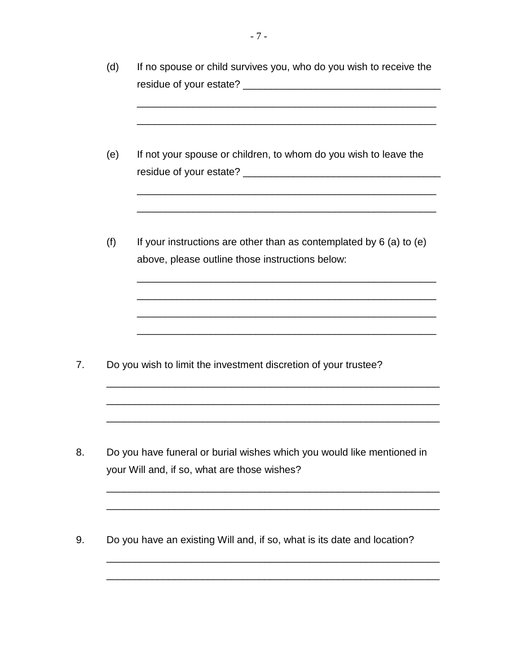| (d) | If no spouse or child survives you, who do you wish to receive the                                                       |
|-----|--------------------------------------------------------------------------------------------------------------------------|
| (e) | If not your spouse or children, to whom do you wish to leave the                                                         |
| (f) | If your instructions are other than as contemplated by $6$ (a) to (e)<br>above, please outline those instructions below: |
|     | Do you wish to limit the investment discretion of your trustee?                                                          |
|     | Do you have funeral or burial wishes which you would like mentioned in<br>your Will and, if so, what are those wishes?   |
|     | Do you have an existing Will and, if so, what is its date and location?                                                  |
|     |                                                                                                                          |